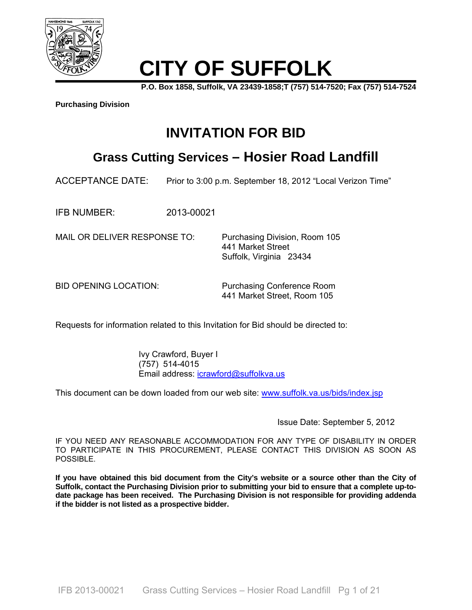

# **CITY OF SUFFOLK**

**P.O. Box 1858, Suffolk, VA 23439-1858;T (757) 514-7520; Fax (757) 514-7524** 

**Purchasing Division**

# **INVITATION FOR BID**

# **Grass Cutting Services – Hosier Road Landfill**

ACCEPTANCE DATE: Prior to 3:00 p.m. September 18, 2012 "Local Verizon Time"

IFB NUMBER: 2013-00021

MAIL OR DELIVER RESPONSE TO: Purchasing Division, Room 105

 441 Market Street Suffolk, Virginia 23434

BID OPENING LOCATION: Purchasing Conference Room 441 Market Street, Room 105

Requests for information related to this Invitation for Bid should be directed to:

 Ivy Crawford, Buyer I (757) 514-4015 Email address: icrawford@suffolkva.us

This document can be down loaded from our web site: www.suffolk.va.us/bids/index.jsp

Issue Date: September 5, 2012

IF YOU NEED ANY REASONABLE ACCOMMODATION FOR ANY TYPE OF DISABILITY IN ORDER TO PARTICIPATE IN THIS PROCUREMENT, PLEASE CONTACT THIS DIVISION AS SOON AS POSSIBLE.

**If you have obtained this bid document from the City's website or a source other than the City of Suffolk, contact the Purchasing Division prior to submitting your bid to ensure that a complete up-todate package has been received. The Purchasing Division is not responsible for providing addenda if the bidder is not listed as a prospective bidder.**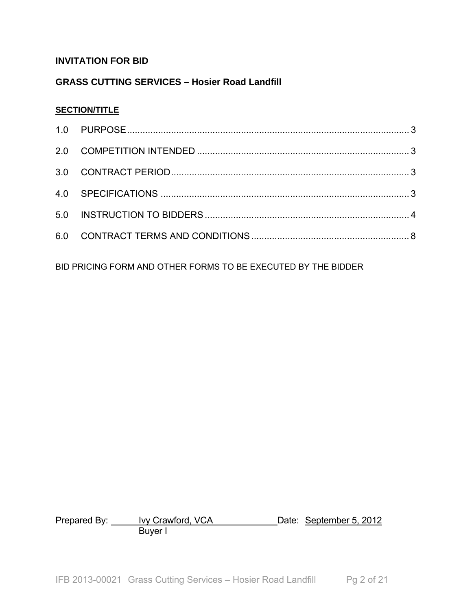# **INVITATION FOR BID**

# **GRASS CUTTING SERVICES – Hosier Road Landfill**

# **SECTION/TITLE**

BID PRICING FORM AND OTHER FORMS TO BE EXECUTED BY THE BIDDER

Prepared By: <u>Ivy Crawford, VCA</u> Contained Date: September 5, 2012 **Buyer I**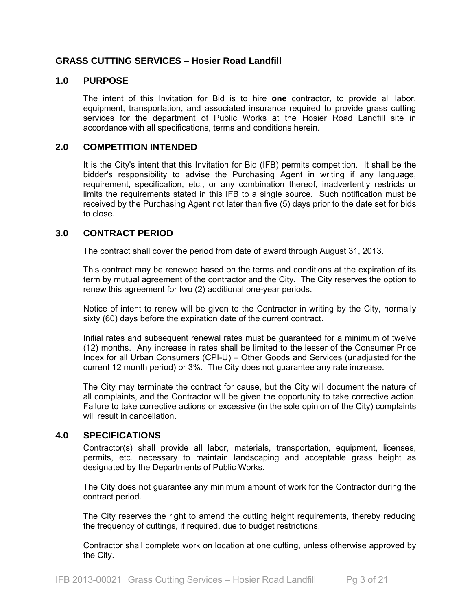# **GRASS CUTTING SERVICES – Hosier Road Landfill**

# **1.0 PURPOSE**

The intent of this Invitation for Bid is to hire **one** contractor, to provide all labor, equipment, transportation, and associated insurance required to provide grass cutting services for the department of Public Works at the Hosier Road Landfill site in accordance with all specifications, terms and conditions herein.

# **2.0 COMPETITION INTENDED**

It is the City's intent that this Invitation for Bid (IFB) permits competition. It shall be the bidder's responsibility to advise the Purchasing Agent in writing if any language, requirement, specification, etc., or any combination thereof, inadvertently restricts or limits the requirements stated in this IFB to a single source. Such notification must be received by the Purchasing Agent not later than five (5) days prior to the date set for bids to close.

# **3.0 CONTRACT PERIOD**

The contract shall cover the period from date of award through August 31, 2013.

This contract may be renewed based on the terms and conditions at the expiration of its term by mutual agreement of the contractor and the City. The City reserves the option to renew this agreement for two (2) additional one-year periods.

Notice of intent to renew will be given to the Contractor in writing by the City, normally sixty (60) days before the expiration date of the current contract.

Initial rates and subsequent renewal rates must be guaranteed for a minimum of twelve (12) months. Any increase in rates shall be limited to the lesser of the Consumer Price Index for all Urban Consumers (CPI-U) – Other Goods and Services (unadjusted for the current 12 month period) or 3%. The City does not guarantee any rate increase.

The City may terminate the contract for cause, but the City will document the nature of all complaints, and the Contractor will be given the opportunity to take corrective action. Failure to take corrective actions or excessive (in the sole opinion of the City) complaints will result in cancellation.

# **4.0 SPECIFICATIONS**

Contractor(s) shall provide all labor, materials, transportation, equipment, licenses, permits, etc. necessary to maintain landscaping and acceptable grass height as designated by the Departments of Public Works.

The City does not guarantee any minimum amount of work for the Contractor during the contract period.

The City reserves the right to amend the cutting height requirements, thereby reducing the frequency of cuttings, if required, due to budget restrictions.

Contractor shall complete work on location at one cutting, unless otherwise approved by the City.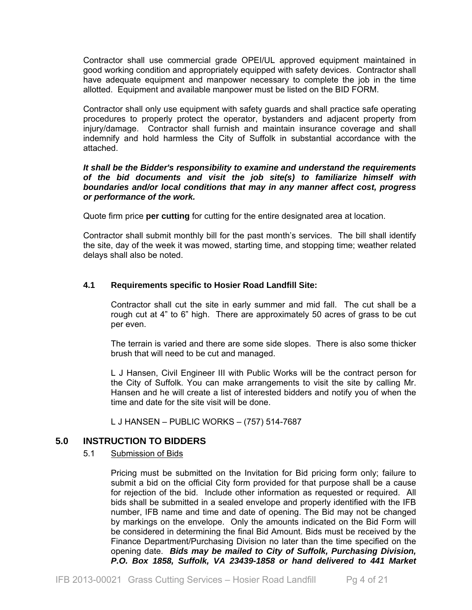Contractor shall use commercial grade OPEI/UL approved equipment maintained in good working condition and appropriately equipped with safety devices. Contractor shall have adequate equipment and manpower necessary to complete the job in the time allotted. Equipment and available manpower must be listed on the BID FORM.

Contractor shall only use equipment with safety guards and shall practice safe operating procedures to properly protect the operator, bystanders and adjacent property from injury/damage. Contractor shall furnish and maintain insurance coverage and shall indemnify and hold harmless the City of Suffolk in substantial accordance with the attached.

# *It shall be the Bidder's responsibility to examine and understand the requirements of the bid documents and visit the job site(s) to familiarize himself with boundaries and/or local conditions that may in any manner affect cost, progress or performance of the work.*

Quote firm price **per cutting** for cutting for the entire designated area at location.

Contractor shall submit monthly bill for the past month's services. The bill shall identify the site, day of the week it was mowed, starting time, and stopping time; weather related delays shall also be noted.

# **4.1 Requirements specific to Hosier Road Landfill Site:**

Contractor shall cut the site in early summer and mid fall. The cut shall be a rough cut at 4" to 6" high. There are approximately 50 acres of grass to be cut per even.

The terrain is varied and there are some side slopes. There is also some thicker brush that will need to be cut and managed.

L J Hansen, Civil Engineer III with Public Works will be the contract person for the City of Suffolk. You can make arrangements to visit the site by calling Mr. Hansen and he will create a list of interested bidders and notify you of when the time and date for the site visit will be done.

L J HANSEN – PUBLIC WORKS – (757) 514-7687

# **5.0 INSTRUCTION TO BIDDERS**

# 5.1 Submission of Bids

Pricing must be submitted on the Invitation for Bid pricing form only; failure to submit a bid on the official City form provided for that purpose shall be a cause for rejection of the bid. Include other information as requested or required. All bids shall be submitted in a sealed envelope and properly identified with the IFB number, IFB name and time and date of opening. The Bid may not be changed by markings on the envelope. Only the amounts indicated on the Bid Form will be considered in determining the final Bid Amount. Bids must be received by the Finance Department/Purchasing Division no later than the time specified on the opening date. *Bids may be mailed to City of Suffolk, Purchasing Division, P.O. Box 1858, Suffolk, VA 23439-1858 or hand delivered to 441 Market*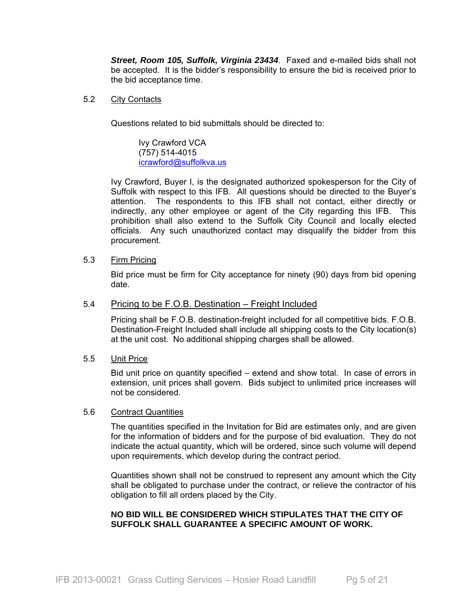*Street, Room 105, Suffolk, Virginia 23434*. Faxed and e-mailed bids shall not be accepted. It is the bidder's responsibility to ensure the bid is received prior to the bid acceptance time.

# 5.2 City Contacts

Questions related to bid submittals should be directed to:

 Ivy Crawford VCA (757) 514-4015 icrawford@suffolkva.us

Ivy Crawford, Buyer I, is the designated authorized spokesperson for the City of Suffolk with respect to this IFB. All questions should be directed to the Buyer's attention. The respondents to this IFB shall not contact, either directly or indirectly, any other employee or agent of the City regarding this IFB. This prohibition shall also extend to the Suffolk City Council and locally elected officials. Any such unauthorized contact may disqualify the bidder from this procurement.

#### 5.3 Firm Pricing

Bid price must be firm for City acceptance for ninety (90) days from bid opening date.

#### 5.4 Pricing to be F.O.B. Destination – Freight Included

Pricing shall be F.O.B. destination-freight included for all competitive bids. F.O.B. Destination-Freight Included shall include all shipping costs to the City location(s) at the unit cost. No additional shipping charges shall be allowed.

#### 5.5 Unit Price

Bid unit price on quantity specified – extend and show total. In case of errors in extension, unit prices shall govern. Bids subject to unlimited price increases will not be considered.

#### 5.6 Contract Quantities

The quantities specified in the Invitation for Bid are estimates only, and are given for the information of bidders and for the purpose of bid evaluation. They do not indicate the actual quantity, which will be ordered, since such volume will depend upon requirements, which develop during the contract period.

Quantities shown shall not be construed to represent any amount which the City shall be obligated to purchase under the contract, or relieve the contractor of his obligation to fill all orders placed by the City.

# **NO BID WILL BE CONSIDERED WHICH STIPULATES THAT THE CITY OF SUFFOLK SHALL GUARANTEE A SPECIFIC AMOUNT OF WORK.**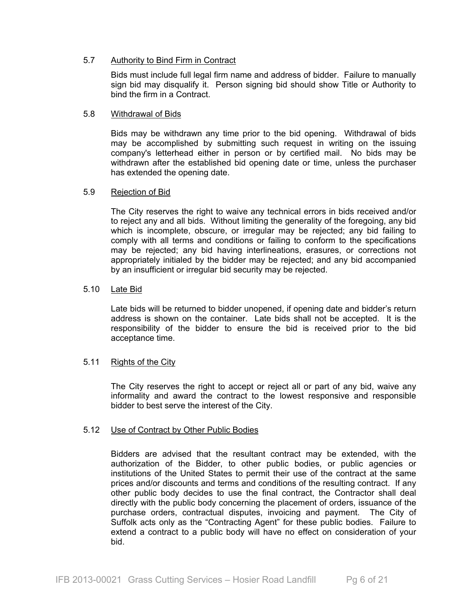# 5.7 Authority to Bind Firm in Contract

Bids must include full legal firm name and address of bidder. Failure to manually sign bid may disqualify it. Person signing bid should show Title or Authority to bind the firm in a Contract.

# 5.8 Withdrawal of Bids

Bids may be withdrawn any time prior to the bid opening. Withdrawal of bids may be accomplished by submitting such request in writing on the issuing company's letterhead either in person or by certified mail. No bids may be withdrawn after the established bid opening date or time, unless the purchaser has extended the opening date.

# 5.9 Rejection of Bid

The City reserves the right to waive any technical errors in bids received and/or to reject any and all bids. Without limiting the generality of the foregoing, any bid which is incomplete, obscure, or irregular may be rejected; any bid failing to comply with all terms and conditions or failing to conform to the specifications may be rejected; any bid having interlineations, erasures, or corrections not appropriately initialed by the bidder may be rejected; and any bid accompanied by an insufficient or irregular bid security may be rejected.

# 5.10 Late Bid

Late bids will be returned to bidder unopened, if opening date and bidder's return address is shown on the container. Late bids shall not be accepted. It is the responsibility of the bidder to ensure the bid is received prior to the bid acceptance time.

# 5.11 Rights of the City

The City reserves the right to accept or reject all or part of any bid, waive any informality and award the contract to the lowest responsive and responsible bidder to best serve the interest of the City.

# 5.12 Use of Contract by Other Public Bodies

Bidders are advised that the resultant contract may be extended, with the authorization of the Bidder, to other public bodies, or public agencies or institutions of the United States to permit their use of the contract at the same prices and/or discounts and terms and conditions of the resulting contract. If any other public body decides to use the final contract, the Contractor shall deal directly with the public body concerning the placement of orders, issuance of the purchase orders, contractual disputes, invoicing and payment. The City of Suffolk acts only as the "Contracting Agent" for these public bodies. Failure to extend a contract to a public body will have no effect on consideration of your bid.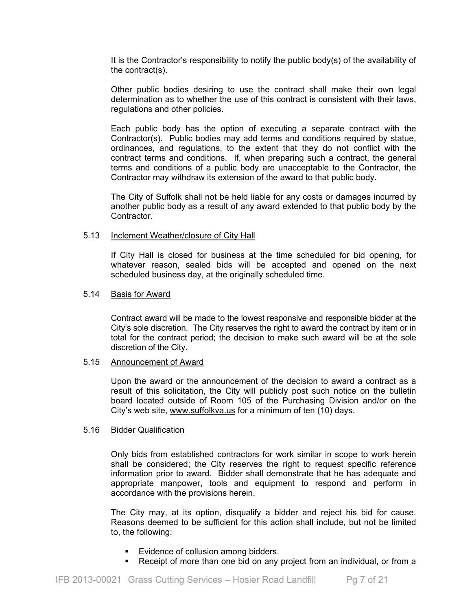It is the Contractor's responsibility to notify the public body(s) of the availability of the contract(s).

Other public bodies desiring to use the contract shall make their own legal determination as to whether the use of this contract is consistent with their laws, regulations and other policies.

Each public body has the option of executing a separate contract with the Contractor(s). Public bodies may add terms and conditions required by statue, ordinances, and regulations, to the extent that they do not conflict with the contract terms and conditions. If, when preparing such a contract, the general terms and conditions of a public body are unacceptable to the Contractor, the Contractor may withdraw its extension of the award to that public body.

The City of Suffolk shall not be held liable for any costs or damages incurred by another public body as a result of any award extended to that public body by the **Contractor** 

#### 5.13 Inclement Weather/closure of City Hall

If City Hall is closed for business at the time scheduled for bid opening, for whatever reason, sealed bids will be accepted and opened on the next scheduled business day, at the originally scheduled time.

#### 5.14 Basis for Award

Contract award will be made to the lowest responsive and responsible bidder at the City's sole discretion. The City reserves the right to award the contract by item or in total for the contract period; the decision to make such award will be at the sole discretion of the City.

# 5.15 Announcement of Award

Upon the award or the announcement of the decision to award a contract as a result of this solicitation, the City will publicly post such notice on the bulletin board located outside of Room 105 of the Purchasing Division and/or on the City's web site, www.suffolkva.us for a minimum of ten (10) days.

# 5.16 Bidder Qualification

Only bids from established contractors for work similar in scope to work herein shall be considered; the City reserves the right to request specific reference information prior to award. Bidder shall demonstrate that he has adequate and appropriate manpower, tools and equipment to respond and perform in accordance with the provisions herein.

The City may, at its option, disqualify a bidder and reject his bid for cause. Reasons deemed to be sufficient for this action shall include, but not be limited to, the following:

- Evidence of collusion among bidders.
- Receipt of more than one bid on any project from an individual, or from a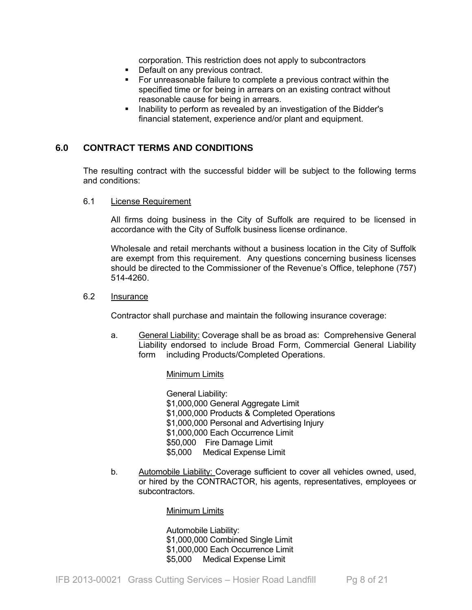corporation. This restriction does not apply to subcontractors

- Default on any previous contract.
- For unreasonable failure to complete a previous contract within the specified time or for being in arrears on an existing contract without reasonable cause for being in arrears.
- Inability to perform as revealed by an investigation of the Bidder's financial statement, experience and/or plant and equipment.

# **6.0 CONTRACT TERMS AND CONDITIONS**

The resulting contract with the successful bidder will be subject to the following terms and conditions:

#### 6.1 License Requirement

All firms doing business in the City of Suffolk are required to be licensed in accordance with the City of Suffolk business license ordinance.

Wholesale and retail merchants without a business location in the City of Suffolk are exempt from this requirement. Any questions concerning business licenses should be directed to the Commissioner of the Revenue's Office, telephone (757) 514-4260.

# 6.2 Insurance

Contractor shall purchase and maintain the following insurance coverage:

- a. General Liability: Coverage shall be as broad as: Comprehensive General Liability endorsed to include Broad Form, Commercial General Liability form including Products/Completed Operations.
	- Minimum Limits

 General Liability: \$1,000,000 General Aggregate Limit \$1,000,000 Products & Completed Operations \$1,000,000 Personal and Advertising Injury \$1,000,000 Each Occurrence Limit \$50,000 Fire Damage Limit \$5,000 Medical Expense Limit

b. Automobile Liability: Coverage sufficient to cover all vehicles owned, used, or hired by the CONTRACTOR, his agents, representatives, employees or subcontractors.

#### Minimum Limits

 Automobile Liability: \$1,000,000 Combined Single Limit \$1,000,000 Each Occurrence Limit \$5,000 Medical Expense Limit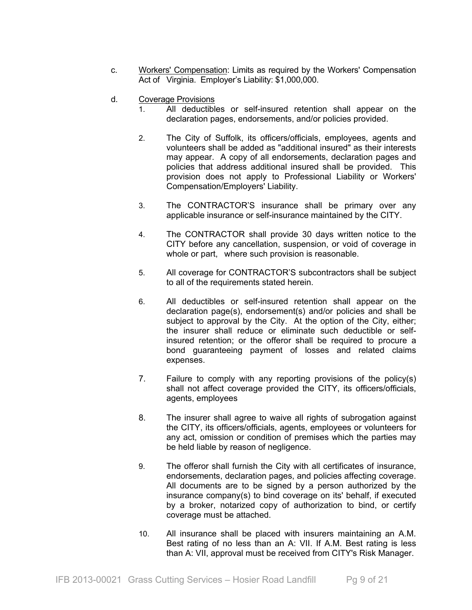- c. Workers' Compensation: Limits as required by the Workers' Compensation Act of Virginia. Employer's Liability: \$1,000,000.
- d. Coverage Provisions
	- 1. All deductibles or self-insured retention shall appear on the declaration pages, endorsements, and/or policies provided.
	- 2. The City of Suffolk, its officers/officials, employees, agents and volunteers shall be added as "additional insured" as their interests may appear. A copy of all endorsements, declaration pages and policies that address additional insured shall be provided. This provision does not apply to Professional Liability or Workers' Compensation/Employers' Liability.
	- 3. The CONTRACTOR'S insurance shall be primary over any applicable insurance or self-insurance maintained by the CITY.
	- 4. The CONTRACTOR shall provide 30 days written notice to the CITY before any cancellation, suspension, or void of coverage in whole or part, where such provision is reasonable.
	- 5. All coverage for CONTRACTOR'S subcontractors shall be subject to all of the requirements stated herein.
	- 6. All deductibles or self-insured retention shall appear on the declaration page(s), endorsement(s) and/or policies and shall be subject to approval by the City. At the option of the City, either; the insurer shall reduce or eliminate such deductible or selfinsured retention; or the offeror shall be required to procure a bond guaranteeing payment of losses and related claims expenses.
	- 7. Failure to comply with any reporting provisions of the policy(s) shall not affect coverage provided the CITY, its officers/officials, agents, employees
	- 8. The insurer shall agree to waive all rights of subrogation against the CITY, its officers/officials, agents, employees or volunteers for any act, omission or condition of premises which the parties may be held liable by reason of negligence.
	- 9. The offeror shall furnish the City with all certificates of insurance, endorsements, declaration pages, and policies affecting coverage. All documents are to be signed by a person authorized by the insurance company(s) to bind coverage on its' behalf, if executed by a broker, notarized copy of authorization to bind, or certify coverage must be attached.
	- 10. All insurance shall be placed with insurers maintaining an A.M. Best rating of no less than an A: VII. If A.M. Best rating is less than A: VII, approval must be received from CITY's Risk Manager.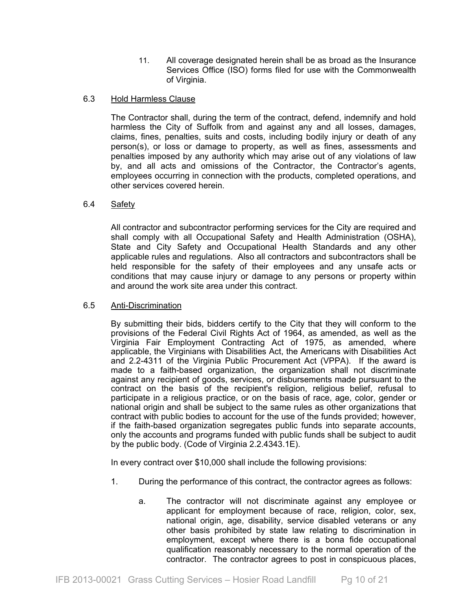11. All coverage designated herein shall be as broad as the Insurance Services Office (ISO) forms filed for use with the Commonwealth of Virginia.

# 6.3 Hold Harmless Clause

The Contractor shall, during the term of the contract, defend, indemnify and hold harmless the City of Suffolk from and against any and all losses, damages, claims, fines, penalties, suits and costs, including bodily injury or death of any person(s), or loss or damage to property, as well as fines, assessments and penalties imposed by any authority which may arise out of any violations of law by, and all acts and omissions of the Contractor, the Contractor's agents, employees occurring in connection with the products, completed operations, and other services covered herein.

# 6.4 Safety

All contractor and subcontractor performing services for the City are required and shall comply with all Occupational Safety and Health Administration (OSHA), State and City Safety and Occupational Health Standards and any other applicable rules and regulations. Also all contractors and subcontractors shall be held responsible for the safety of their employees and any unsafe acts or conditions that may cause injury or damage to any persons or property within and around the work site area under this contract.

# 6.5 Anti-Discrimination

By submitting their bids, bidders certify to the City that they will conform to the provisions of the Federal Civil Rights Act of 1964, as amended, as well as the Virginia Fair Employment Contracting Act of 1975, as amended, where applicable, the Virginians with Disabilities Act, the Americans with Disabilities Act and 2.2-4311 of the Virginia Public Procurement Act (VPPA). If the award is made to a faith-based organization, the organization shall not discriminate against any recipient of goods, services, or disbursements made pursuant to the contract on the basis of the recipient's religion, religious belief, refusal to participate in a religious practice, or on the basis of race, age, color, gender or national origin and shall be subject to the same rules as other organizations that contract with public bodies to account for the use of the funds provided; however, if the faith-based organization segregates public funds into separate accounts, only the accounts and programs funded with public funds shall be subject to audit by the public body. (Code of Virginia 2.2.4343.1E).

In every contract over \$10,000 shall include the following provisions:

- 1. During the performance of this contract, the contractor agrees as follows:
	- a. The contractor will not discriminate against any employee or applicant for employment because of race, religion, color, sex, national origin, age, disability, service disabled veterans or any other basis prohibited by state law relating to discrimination in employment, except where there is a bona fide occupational qualification reasonably necessary to the normal operation of the contractor. The contractor agrees to post in conspicuous places,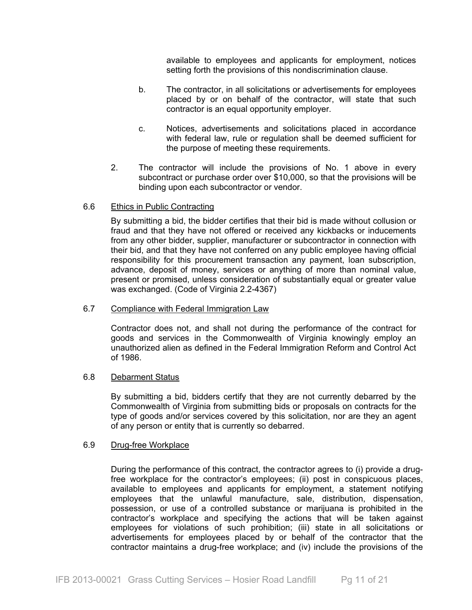available to employees and applicants for employment, notices setting forth the provisions of this nondiscrimination clause.

- b. The contractor, in all solicitations or advertisements for employees placed by or on behalf of the contractor, will state that such contractor is an equal opportunity employer.
- c. Notices, advertisements and solicitations placed in accordance with federal law, rule or regulation shall be deemed sufficient for the purpose of meeting these requirements.
- 2. The contractor will include the provisions of No. 1 above in every subcontract or purchase order over \$10,000, so that the provisions will be binding upon each subcontractor or vendor.

# 6.6 Ethics in Public Contracting

By submitting a bid, the bidder certifies that their bid is made without collusion or fraud and that they have not offered or received any kickbacks or inducements from any other bidder, supplier, manufacturer or subcontractor in connection with their bid, and that they have not conferred on any public employee having official responsibility for this procurement transaction any payment, loan subscription, advance, deposit of money, services or anything of more than nominal value, present or promised, unless consideration of substantially equal or greater value was exchanged. (Code of Virginia 2.2-4367)

# 6.7 Compliance with Federal Immigration Law

Contractor does not, and shall not during the performance of the contract for goods and services in the Commonwealth of Virginia knowingly employ an unauthorized alien as defined in the Federal Immigration Reform and Control Act of 1986.

# 6.8 Debarment Status

By submitting a bid, bidders certify that they are not currently debarred by the Commonwealth of Virginia from submitting bids or proposals on contracts for the type of goods and/or services covered by this solicitation, nor are they an agent of any person or entity that is currently so debarred.

# 6.9 Drug-free Workplace

During the performance of this contract, the contractor agrees to (i) provide a drugfree workplace for the contractor's employees; (ii) post in conspicuous places, available to employees and applicants for employment, a statement notifying employees that the unlawful manufacture, sale, distribution, dispensation, possession, or use of a controlled substance or marijuana is prohibited in the contractor's workplace and specifying the actions that will be taken against employees for violations of such prohibition; (iii) state in all solicitations or advertisements for employees placed by or behalf of the contractor that the contractor maintains a drug-free workplace; and (iv) include the provisions of the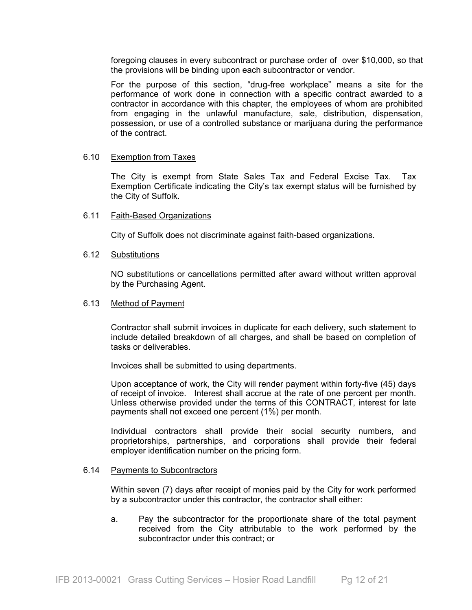foregoing clauses in every subcontract or purchase order of over \$10,000, so that the provisions will be binding upon each subcontractor or vendor.

For the purpose of this section, "drug-free workplace" means a site for the performance of work done in connection with a specific contract awarded to a contractor in accordance with this chapter, the employees of whom are prohibited from engaging in the unlawful manufacture, sale, distribution, dispensation, possession, or use of a controlled substance or marijuana during the performance of the contract.

#### 6.10 Exemption from Taxes

The City is exempt from State Sales Tax and Federal Excise Tax. Tax Exemption Certificate indicating the City's tax exempt status will be furnished by the City of Suffolk.

#### 6.11 Faith-Based Organizations

City of Suffolk does not discriminate against faith-based organizations.

#### 6.12 Substitutions

NO substitutions or cancellations permitted after award without written approval by the Purchasing Agent.

#### 6.13 Method of Payment

Contractor shall submit invoices in duplicate for each delivery, such statement to include detailed breakdown of all charges, and shall be based on completion of tasks or deliverables.

Invoices shall be submitted to using departments.

Upon acceptance of work, the City will render payment within forty-five (45) days of receipt of invoice. Interest shall accrue at the rate of one percent per month. Unless otherwise provided under the terms of this CONTRACT, interest for late payments shall not exceed one percent (1%) per month.

Individual contractors shall provide their social security numbers, and proprietorships, partnerships, and corporations shall provide their federal employer identification number on the pricing form.

#### 6.14 Payments to Subcontractors

Within seven (7) days after receipt of monies paid by the City for work performed by a subcontractor under this contractor, the contractor shall either:

a. Pay the subcontractor for the proportionate share of the total payment received from the City attributable to the work performed by the subcontractor under this contract; or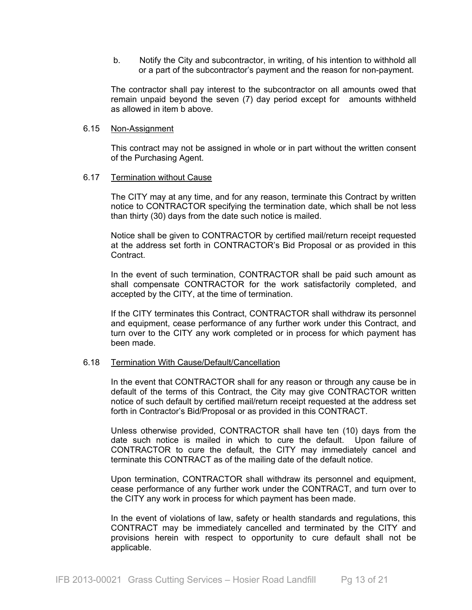b. Notify the City and subcontractor, in writing, of his intention to withhold all or a part of the subcontractor's payment and the reason for non-payment.

The contractor shall pay interest to the subcontractor on all amounts owed that remain unpaid beyond the seven (7) day period except for amounts withheld as allowed in item b above.

#### 6.15 Non-Assignment

This contract may not be assigned in whole or in part without the written consent of the Purchasing Agent.

#### 6.17 Termination without Cause

The CITY may at any time, and for any reason, terminate this Contract by written notice to CONTRACTOR specifying the termination date, which shall be not less than thirty (30) days from the date such notice is mailed.

Notice shall be given to CONTRACTOR by certified mail/return receipt requested at the address set forth in CONTRACTOR's Bid Proposal or as provided in this Contract.

In the event of such termination, CONTRACTOR shall be paid such amount as shall compensate CONTRACTOR for the work satisfactorily completed, and accepted by the CITY, at the time of termination.

If the CITY terminates this Contract, CONTRACTOR shall withdraw its personnel and equipment, cease performance of any further work under this Contract, and turn over to the CITY any work completed or in process for which payment has been made.

# 6.18 Termination With Cause/Default/Cancellation

In the event that CONTRACTOR shall for any reason or through any cause be in default of the terms of this Contract, the City may give CONTRACTOR written notice of such default by certified mail/return receipt requested at the address set forth in Contractor's Bid/Proposal or as provided in this CONTRACT.

Unless otherwise provided, CONTRACTOR shall have ten (10) days from the date such notice is mailed in which to cure the default. Upon failure of CONTRACTOR to cure the default, the CITY may immediately cancel and terminate this CONTRACT as of the mailing date of the default notice.

Upon termination, CONTRACTOR shall withdraw its personnel and equipment, cease performance of any further work under the CONTRACT, and turn over to the CITY any work in process for which payment has been made.

In the event of violations of law, safety or health standards and regulations, this CONTRACT may be immediately cancelled and terminated by the CITY and provisions herein with respect to opportunity to cure default shall not be applicable.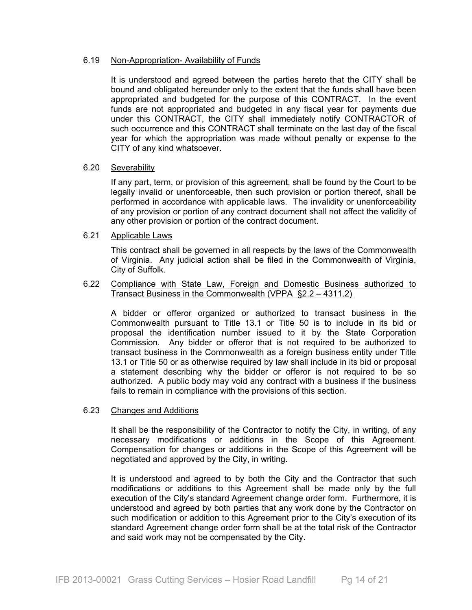# 6.19 Non-Appropriation- Availability of Funds

It is understood and agreed between the parties hereto that the CITY shall be bound and obligated hereunder only to the extent that the funds shall have been appropriated and budgeted for the purpose of this CONTRACT. In the event funds are not appropriated and budgeted in any fiscal year for payments due under this CONTRACT, the CITY shall immediately notify CONTRACTOR of such occurrence and this CONTRACT shall terminate on the last day of the fiscal year for which the appropriation was made without penalty or expense to the CITY of any kind whatsoever.

# 6.20 Severability

If any part, term, or provision of this agreement, shall be found by the Court to be legally invalid or unenforceable, then such provision or portion thereof, shall be performed in accordance with applicable laws. The invalidity or unenforceability of any provision or portion of any contract document shall not affect the validity of any other provision or portion of the contract document.

#### 6.21 Applicable Laws

This contract shall be governed in all respects by the laws of the Commonwealth of Virginia. Any judicial action shall be filed in the Commonwealth of Virginia, City of Suffolk.

# 6.22 Compliance with State Law, Foreign and Domestic Business authorized to Transact Business in the Commonwealth (VPPA §2.2 – 4311.2)

A bidder or offeror organized or authorized to transact business in the Commonwealth pursuant to Title 13.1 or Title 50 is to include in its bid or proposal the identification number issued to it by the State Corporation Commission. Any bidder or offeror that is not required to be authorized to transact business in the Commonwealth as a foreign business entity under Title 13.1 or Title 50 or as otherwise required by law shall include in its bid or proposal a statement describing why the bidder or offeror is not required to be so authorized. A public body may void any contract with a business if the business fails to remain in compliance with the provisions of this section.

# 6.23 Changes and Additions

It shall be the responsibility of the Contractor to notify the City, in writing, of any necessary modifications or additions in the Scope of this Agreement. Compensation for changes or additions in the Scope of this Agreement will be negotiated and approved by the City, in writing.

It is understood and agreed to by both the City and the Contractor that such modifications or additions to this Agreement shall be made only by the full execution of the City's standard Agreement change order form. Furthermore, it is understood and agreed by both parties that any work done by the Contractor on such modification or addition to this Agreement prior to the City's execution of its standard Agreement change order form shall be at the total risk of the Contractor and said work may not be compensated by the City.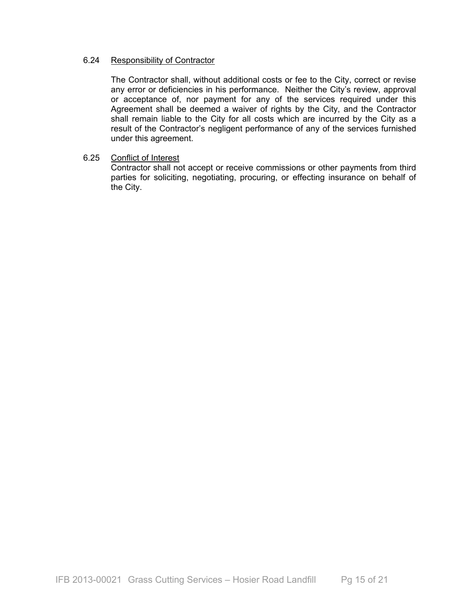# 6.24 Responsibility of Contractor

The Contractor shall, without additional costs or fee to the City, correct or revise any error or deficiencies in his performance. Neither the City's review, approval or acceptance of, nor payment for any of the services required under this Agreement shall be deemed a waiver of rights by the City, and the Contractor shall remain liable to the City for all costs which are incurred by the City as a result of the Contractor's negligent performance of any of the services furnished under this agreement.

# 6.25 Conflict of Interest

Contractor shall not accept or receive commissions or other payments from third parties for soliciting, negotiating, procuring, or effecting insurance on behalf of the City.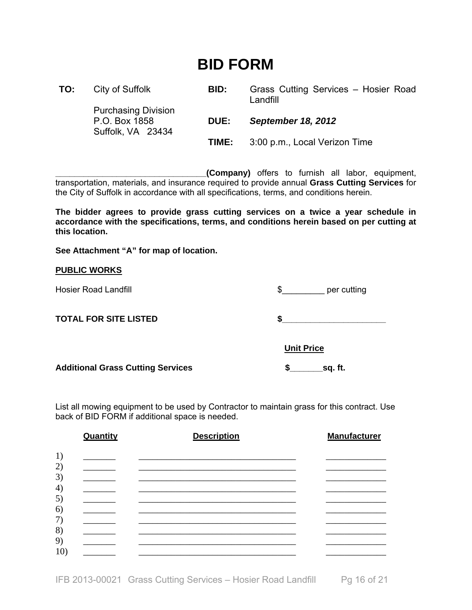# **BID FORM**

| TO: | City of Suffolk                                                  | BID:        | Grass Cutting Services - Hosier Road<br>Landfill |
|-----|------------------------------------------------------------------|-------------|--------------------------------------------------|
|     | <b>Purchasing Division</b><br>P.O. Box 1858<br>Suffolk, VA 23434 | <b>DUE:</b> | <b>September 18, 2012</b>                        |
|     |                                                                  | TIME:       | 3:00 p.m., Local Verizon Time                    |

**\_\_\_\_\_\_\_\_\_\_\_\_\_\_\_\_\_\_\_\_\_\_\_\_\_\_\_\_\_\_\_\_(Company)** offers to furnish all labor, equipment, transportation, materials, and insurance required to provide annual **Grass Cutting Services** for the City of Suffolk in accordance with all specifications, terms, and conditions herein.

**The bidder agrees to provide grass cutting services on a twice a year schedule in accordance with the specifications, terms, and conditions herein based on per cutting at this location.** 

**See Attachment "A" for map of location.** 

# **PUBLIC WORKS**

|  |  | <b>Hosier Road Landfill</b> |
|--|--|-----------------------------|
|--|--|-----------------------------|

 $\frac{1}{2}$  per cutting

**TOTAL FOR SITE LISTED \$\_\_\_\_\_\_\_\_\_\_\_\_\_\_\_\_\_\_\_\_\_\_** 

 **Unit Price** 

Additional Grass Cutting Services **by Service Services** \$\_\_\_\_\_\_\_\_\_\_\_\_\_\_\_\_\_\_\_\_\_\_\_\_\_

List all mowing equipment to be used by Contractor to maintain grass for this contract. Use back of BID FORM if additional space is needed.

|                                    | Quantity | <b>Description</b> | <b>Manufacturer</b> |
|------------------------------------|----------|--------------------|---------------------|
| 1)                                 |          |                    |                     |
| 2)                                 |          |                    |                     |
| 3)<br>$\left( \frac{1}{2} \right)$ |          |                    |                     |
| 5)                                 |          |                    |                     |
| 6)<br>7)                           |          |                    |                     |
| 8)                                 |          |                    |                     |
| 9)                                 |          |                    |                     |
| 10 <sub>l</sub>                    |          |                    |                     |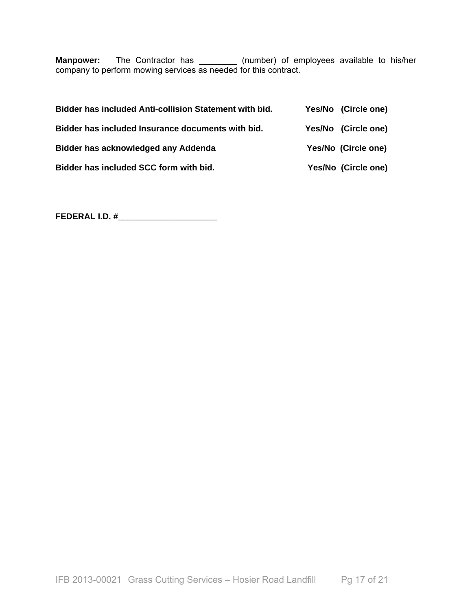**Manpower:** The Contractor has \_\_\_\_\_\_\_\_ (number) of employees available to his/her company to perform mowing services as needed for this contract.

| Bidder has included Anti-collision Statement with bid. | Yes/No (Circle one) |
|--------------------------------------------------------|---------------------|
| Bidder has included Insurance documents with bid.      | Yes/No (Circle one) |
| Bidder has acknowledged any Addenda                    | Yes/No (Circle one) |
| Bidder has included SCC form with bid.                 | Yes/No (Circle one) |

**FEDERAL I.D. #\_\_\_\_\_\_\_\_\_\_\_\_\_\_\_\_\_\_\_\_\_**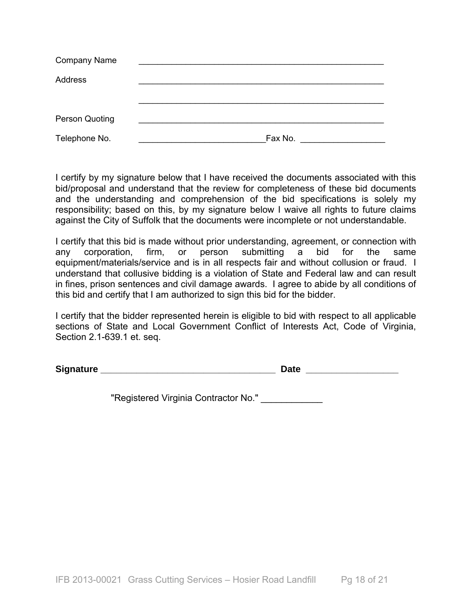| <b>Company Name</b>   |         |
|-----------------------|---------|
| Address               |         |
|                       |         |
|                       |         |
| <b>Person Quoting</b> |         |
| Telephone No.         | Fax No. |

I certify by my signature below that I have received the documents associated with this bid/proposal and understand that the review for completeness of these bid documents and the understanding and comprehension of the bid specifications is solely my responsibility; based on this, by my signature below I waive all rights to future claims against the City of Suffolk that the documents were incomplete or not understandable.

I certify that this bid is made without prior understanding, agreement, or connection with any corporation, firm, or person submitting a bid for the same equipment/materials/service and is in all respects fair and without collusion or fraud. I understand that collusive bidding is a violation of State and Federal law and can result in fines, prison sentences and civil damage awards. I agree to abide by all conditions of this bid and certify that I am authorized to sign this bid for the bidder.

I certify that the bidder represented herein is eligible to bid with respect to all applicable sections of State and Local Government Conflict of Interests Act, Code of Virginia, Section 2.1-639.1 et. seq.

**Signature Signature** *Contract CONSIDERS <b>Date CONSIDERS <b>Date* 

"Registered Virginia Contractor No." \_\_\_\_\_\_\_\_\_\_\_\_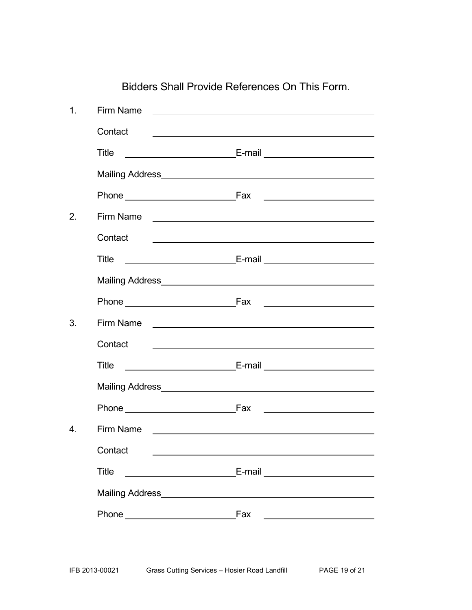| 1 <sub>1</sub>   | Firm Name                   | <u> 1989 - Johann John Stein, fransk politik (</u>                                                                                                                                                                                   |
|------------------|-----------------------------|--------------------------------------------------------------------------------------------------------------------------------------------------------------------------------------------------------------------------------------|
|                  | Contact                     | <u> 1989 - Johann Barn, fransk politik (d. 1989)</u>                                                                                                                                                                                 |
|                  | Title                       |                                                                                                                                                                                                                                      |
|                  |                             |                                                                                                                                                                                                                                      |
|                  |                             |                                                                                                                                                                                                                                      |
| 2.               | Firm Name <u>experience</u> |                                                                                                                                                                                                                                      |
|                  | Contact                     |                                                                                                                                                                                                                                      |
|                  | <b>Title</b>                |                                                                                                                                                                                                                                      |
|                  |                             |                                                                                                                                                                                                                                      |
|                  |                             | Phone Fax Fax Phone Phone                                                                                                                                                                                                            |
| 3.               |                             |                                                                                                                                                                                                                                      |
|                  | Contact                     | <u> Alexandria de la contrada de la contrada de la contrada de la contrada de la contrada de la contrada de la c</u>                                                                                                                 |
|                  | Title                       |                                                                                                                                                                                                                                      |
|                  |                             |                                                                                                                                                                                                                                      |
|                  | Phone Fax                   |                                                                                                                                                                                                                                      |
| $\overline{4}$ . | Firm Name                   | <u> 1980 - Jan Alexandro Alexandro III (m. 1980)</u>                                                                                                                                                                                 |
|                  | Contact                     |                                                                                                                                                                                                                                      |
|                  | <b>Title</b>                |                                                                                                                                                                                                                                      |
|                  |                             |                                                                                                                                                                                                                                      |
|                  | Phone Fax                   | <u>and the contract of the contract of the contract of the contract of the contract of the contract of the contract of the contract of the contract of the contract of the contract of the contract of the contract of the contr</u> |
|                  |                             |                                                                                                                                                                                                                                      |

Bidders Shall Provide References On This Form.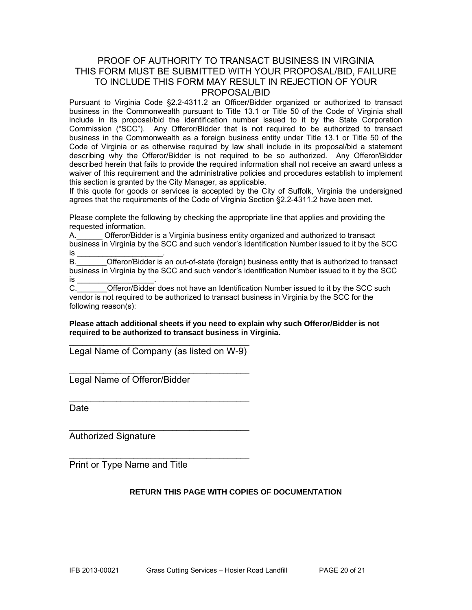# PROOF OF AUTHORITY TO TRANSACT BUSINESS IN VIRGINIA THIS FORM MUST BE SUBMITTED WITH YOUR PROPOSAL/BID, FAILURE TO INCLUDE THIS FORM MAY RESULT IN REJECTION OF YOUR PROPOSAL/BID

Pursuant to Virginia Code §2.2-4311.2 an Officer/Bidder organized or authorized to transact business in the Commonwealth pursuant to Title 13.1 or Title 50 of the Code of Virginia shall include in its proposal/bid the identification number issued to it by the State Corporation Commission ("SCC"). Any Offeror/Bidder that is not required to be authorized to transact business in the Commonwealth as a foreign business entity under Title 13.1 or Title 50 of the Code of Virginia or as otherwise required by law shall include in its proposal/bid a statement describing why the Offeror/Bidder is not required to be so authorized. Any Offeror/Bidder described herein that fails to provide the required information shall not receive an award unless a waiver of this requirement and the administrative policies and procedures establish to implement this section is granted by the City Manager, as applicable.

If this quote for goods or services is accepted by the City of Suffolk, Virginia the undersigned agrees that the requirements of the Code of Virginia Section §2.2-4311.2 have been met.

Please complete the following by checking the appropriate line that applies and providing the requested information.

A.\_\_\_\_\_\_ Offeror/Bidder is a Virginia business entity organized and authorized to transact business in Virginia by the SCC and such vendor's Identification Number issued to it by the SCC is \_\_\_\_\_\_\_\_\_\_\_\_\_\_\_\_\_\_\_\_\_\_\_\_\_\_\_\_\_\_\_\_.

B. **Combinder Offeror/Bidder is an out-of-state (foreign) business entity that is authorized to transact** business in Virginia by the SCC and such vendor's identification Number issued to it by the SCC is \_<br>C.

Offeror/Bidder does not have an Identification Number issued to it by the SCC such vendor is not required to be authorized to transact business in Virginia by the SCC for the following reason(s):

**Please attach additional sheets if you need to explain why such Offeror/Bidder is not required to be authorized to transact business in Virginia.** 

 $\overline{\phantom{a}}$  , and the contract of the contract of the contract of the contract of the contract of the contract of the contract of the contract of the contract of the contract of the contract of the contract of the contrac Legal Name of Company (as listed on W-9)

 $\overline{\phantom{a}}$  , and the contract of the contract of the contract of the contract of the contract of the contract of the contract of the contract of the contract of the contract of the contract of the contract of the contrac

\_\_\_\_\_\_\_\_\_\_\_\_\_\_\_\_\_\_\_\_\_\_\_\_\_\_\_\_\_\_\_\_\_\_\_\_\_\_\_\_\_\_

\_\_\_\_\_\_\_\_\_\_\_\_\_\_\_\_\_\_\_\_\_\_\_\_\_\_\_\_\_\_\_\_\_\_\_\_\_\_\_\_\_\_

\_\_\_\_\_\_\_\_\_\_\_\_\_\_\_\_\_\_\_\_\_\_\_\_\_\_\_\_\_\_\_\_\_\_\_\_\_\_\_\_\_\_

Legal Name of Offeror/Bidder

**Date** 

Authorized Signature

Print or Type Name and Title

# **RETURN THIS PAGE WITH COPIES OF DOCUMENTATION**